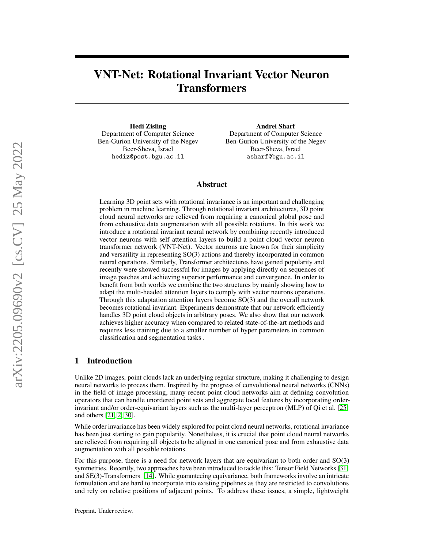# VNT-Net: Rotational Invariant Vector Neuron **Transformers**

Hedi Zisling Department of Computer Science Ben-Gurion University of the Negev Beer-Sheva, Israel hediz@post.bgu.ac.il

Andrei Sharf Department of Computer Science Ben-Gurion University of the Negev Beer-Sheva, Israel asharf@bgu.ac.il

# Abstract

Learning 3D point sets with rotational invariance is an important and challenging problem in machine learning. Through rotational invariant architectures, 3D point cloud neural networks are relieved from requiring a canonical global pose and from exhaustive data augmentation with all possible rotations. In this work we introduce a rotational invariant neural network by combining recently introduced vector neurons with self attention layers to build a point cloud vector neuron transformer network (VNT-Net). Vector neurons are known for their simplicity and versatility in representing SO(3) actions and thereby incorporated in common neural operations. Similarly, Transformer architectures have gained popularity and recently were showed successful for images by applying directly on sequences of image patches and achieving superior performance and convergence. In order to benefit from both worlds we combine the two structures by mainly showing how to adapt the multi-headed attention layers to comply with vector neurons operations. Through this adaptation attention layers become SO(3) and the overall network becomes rotational invariant. Experiments demonstrate that our network efficiently handles 3D point cloud objects in arbitrary poses. We also show that our network achieves higher accuracy when compared to related state-of-the-art methods and requires less training due to a smaller number of hyper parameters in common classification and segmentation tasks .

# 1 Introduction

Unlike 2D images, point clouds lack an underlying regular structure, making it challenging to design neural networks to process them. Inspired by the progress of convolutional neural networks (CNNs) in the field of image processing, many recent point cloud networks aim at defining convolution operators that can handle unordered point sets and aggregate local features by incorporating orderinvariant and/or order-equivariant layers such as the multi-layer perceptron (MLP) of Qi et al. [\[25\]](#page-10-0) and others [\[21,](#page-10-1) [2,](#page-8-0) [30\]](#page-10-2).

While order invariance has been widely explored for point cloud neural networks, rotational invariance has been just starting to gain popularity. Nonetheless, it is crucial that point cloud neural networks are relieved from requiring all objects to be aligned in one canonical pose and from exhaustive data augmentation with all possible rotations.

For this purpose, there is a need for network layers that are equivariant to both order and SO(3) symmetries. Recently, two approaches have been introduced to tackle this: Tensor Field Networks [\[31\]](#page-10-3) and SE(3)-Transformers [\[14\]](#page-9-0). While guaranteeing equivariance, both frameworks involve an intricate formulation and are hard to incorporate into existing pipelines as they are restricted to convolutions and rely on relative positions of adjacent points. To address these issues, a simple, lightweight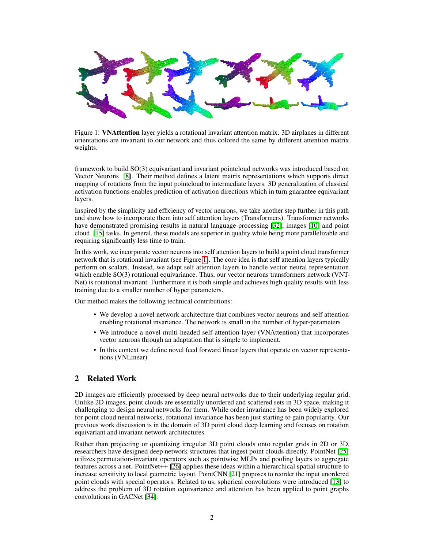

<span id="page-1-0"></span>Figure 1: VNAttention layer yields a rotational invariant attention matrix. 3D airplanes in different orientations are invariant to our network and thus colored the same by different attention matrix weights.

framework to build SO(3) equivariant and invariant pointcloud networks was introduced based on Vector Neurons [\[8\]](#page-9-1). Their method defines a latent matrix representations which supports direct mapping of rotations from the input pointcloud to intermediate layers. 3D generalization of classical activation functions enables prediction of activation directions which in turn guarantee equivariant layers.

Inspired by the simplicity and efficiency of vector neurons, we take another step further in this path and show how to incorporate them into self attention layers (Transformers). Transformer networks have demonstrated promising results in natural language processing [\[32\]](#page-10-4), images [\[10\]](#page-9-2) and point cloud [\[15\]](#page-9-3) tasks. In general, these models are superior in quality while being more parallelizable and requiring significantly less time to train.

In this work, we incorporate vector neurons into self attention layers to build a point cloud transformer network that is rotational invariant (see Figure [1\)](#page-1-0). The core idea is that self attention layers typically perform on scalars. Instead, we adapt self attention layers to handle vector neural representation which enable SO(3) rotational equivariance. Thus, our vector neurons transformers network (VNT-Net) is rotational invariant. Furthermore it is both simple and achieves high quality results with less training due to a smaller number of hyper parameters.

Our method makes the following technical contributions:

- We develop a novel network architecture that combines vector neurons and self attention enabling rotational invariance. The network is small in the number of hyper-parameters
- We introduce a novel multi-headed self attention layer (VNAttention) that incorporates vector neurons through an adaptation that is simple to implement.
- In this context we define novel feed forward linear layers that operate on vector representations (VNLinear)

# 2 Related Work

2D images are efficiently processed by deep neural networks due to their underlying regular grid. Unlike 2D images, point clouds are essentially unordered and scattered sets in 3D space, making it challenging to design neural networks for them. While order invariance has been widely explored for point cloud neural networks, rotational invariance has been just starting to gain popularity. Our previous work discussion is in the domain of 3D point cloud deep learning and focuses on rotation equivariant and invariant network architectures.

Rather than projecting or quantizing irregular 3D point clouds onto regular grids in 2D or 3D, researchers have designed deep network structures that ingest point clouds directly. PointNet [\[25\]](#page-10-0) utilizes permutation-invariant operators such as pointwise MLPs and pooling layers to aggregate features across a set. PointNet++ [\[26\]](#page-10-5) applies these ideas within a hierarchical spatial structure to increase sensitivity to local geometric layout. PointCNN [\[21\]](#page-10-1) proposes to reorder the input unordered point clouds with special operators. Related to us, spherical convolutions were introduced [\[13\]](#page-9-4) to address the problem of 3D rotation equivariance and attention has been applied to point graphs convolutions in GACNet [\[34\]](#page-10-6).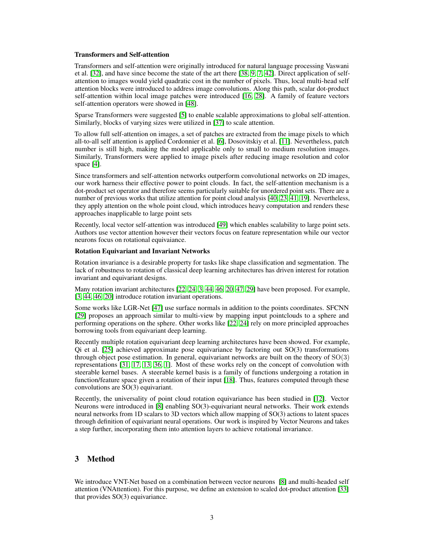#### Transformers and Self-attention

Transformers and self-attention were originally introduced for natural language processing Vaswani et al. [\[32\]](#page-10-4), and have since become the state of the art there [\[38,](#page-10-7) [9,](#page-9-5) [7,](#page-9-6) [42\]](#page-11-0). Direct application of selfattention to images would yield quadratic cost in the number of pixels. Thus, local multi-head self attention blocks were introduced to address image convolutions. Along this path, scalar dot-product self-attention within local image patches were introduced [\[16,](#page-9-7) [28\]](#page-10-8). A family of feature vectors self-attention operators were showed in [\[48\]](#page-11-1).

Sparse Transformers were suggested [\[5\]](#page-9-8) to enable scalable approximations to global self-attention. Similarly, blocks of varying sizes were utilized in [\[37\]](#page-10-9) to scale attention.

To allow full self-attention on images, a set of patches are extracted from the image pixels to which all-to-all self attention is applied Cordonnier et al. [\[6\]](#page-9-9), Dosovitskiy et al. [\[11\]](#page-9-10). Nevertheless, patch number is still high, making the model applicable only to small to medium resolution images. Similarly, Transformers were applied to image pixels after reducing image resolution and color space [\[4\]](#page-9-11).

Since transformers and self-attention networks outperform convolutional networks on 2D images, our work harness their effective power to point clouds. In fact, the self-attention mechanism is a dot-product set operator and therefore seems particularly suitable for unordered point sets. There are a number of previous works that utilize attention for point cloud analysis [\[40,](#page-10-10) [23,](#page-10-11) [41,](#page-11-2) [19\]](#page-9-12). Nevertheless, they apply attention on the whole point cloud, which introduces heavy computation and renders these approaches inapplicable to large point sets

Recently, local vector self-attention was introduced [\[49\]](#page-11-3) which enables scalability to large point sets. Authors use vector attention however their vectors focus on feature representation while our vector neurons focus on rotational equivaiance.

# Rotation Equivariant and Invariant Networks

Rotation invariance is a desirable property for tasks like shape classification and segmentation. The lack of robustness to rotation of classical deep learning architectures has driven interest for rotation invariant and equivariant designs.

Many rotation invariant architectures [\[22,](#page-10-12) [24,](#page-10-13) [3,](#page-8-1) [44,](#page-11-4) [46,](#page-11-5) [20,](#page-9-13) [47,](#page-11-6) [29\]](#page-10-14) have been proposed. For example, [\[3,](#page-8-1) [44,](#page-11-4) [46,](#page-11-5) [20\]](#page-9-13) introduce rotation invariant operations.

Some works like LGR-Net [\[47\]](#page-11-6) use surface normals in addition to the points coordinates. SFCNN [\[29\]](#page-10-14) proposes an approach similar to multi-view by mapping input pointclouds to a sphere and performing operations on the sphere. Other works like [\[22,](#page-10-12) [24\]](#page-10-13) rely on more principled approaches borrowing tools from equivariant deep learning.

Recently multiple rotation equivariant deep learning architectures have been showed. For example, Qi et al.  $[25]$  achieved approximate pose equivariance by factoring out  $SO(3)$  transformations through object pose estimation. In general, equivariant networks are built on the theory of SO(3) representations [\[31,](#page-10-3) [17,](#page-9-14) [13,](#page-9-4) [36,](#page-10-15) [1\]](#page-8-2). Most of these works rely on the concept of convolution with steerable kernel bases. A steerable kernel basis is a family of functions undergoing a rotation in function/feature space given a rotation of their input [\[18\]](#page-9-15). Thus, features computed through these convolutions are SO(3) equivariant.

Recently, the universality of point cloud rotation equivariance has been studied in [\[12\]](#page-9-16). Vector Neurons were introduced in [\[8\]](#page-9-1) enabling SO(3)-equivariant neural networks. Their work extends neural networks from 1D scalars to 3D vectors which allow mapping of SO(3) actions to latent spaces through definition of equivariant neural operations. Our work is inspired by Vector Neurons and takes a step further, incorporating them into attention layers to achieve rotational invariance.

# 3 Method

We introduce VNT-Net based on a combination between vector neurons [\[8\]](#page-9-1) and multi-headed self attention (VNAttention). For this purpose, we define an extension to scaled dot-product attention [\[33\]](#page-10-16) that provides SO(3) equivariance.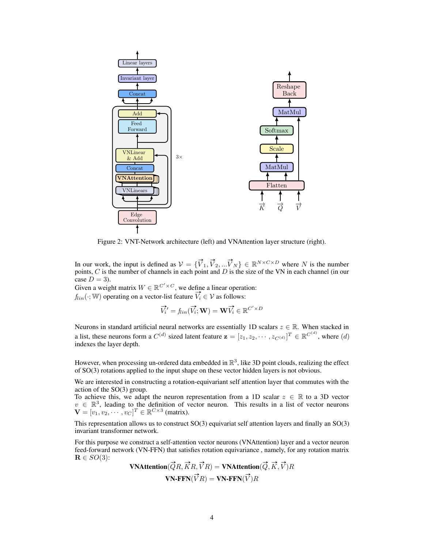

<span id="page-3-0"></span>Figure 2: VNT-Network architecture (left) and VNAttention layer structure (right).

In our work, the input is defined as  $V = {\{\vec{V}_1, \vec{V}_2, ... \vec{V}_N\}} \in \mathbb{R}^{N \times C \times D}$  where N is the number points,  $C$  is the number of channels in each point and  $D$  is the size of the VN in each channel (in our case  $D = 3$ ).

Given a weight matrix  $W \in \mathbb{R}^{C' \times C}$ , we define a linear operation:

 $f_{lin}(\cdot; W)$  operating on a vector-list feature  $\vec{V}_i \in \mathcal{V}$  as follows:

$$
\overrightarrow{V_i'} = f_{lin}(\overrightarrow{V_i}; \mathbf{W}) = \mathbf{W}\overrightarrow{V_i} \in \mathbb{R}^{C' \times D}
$$

Neurons in standard artificial neural networks are essentially 1D scalars  $z \in \mathbb{R}$ . When stacked in a list, these neurons form a  $C^{(d)}$  sized latent feature  $\mathbf{z} = [z_1, z_2, \cdots, z_{C^{(d)}}]^T \in \mathbb{R}^{C^{(d)}}$ , where  $(d)$ indexes the layer depth.

However, when processing un-ordered data embedded in  $\mathbb{R}^3$ , like 3D point clouds, realizing the effect of SO(3) rotations applied to the input shape on these vector hidden layers is not obvious.

We are interested in constructing a rotation-equivariant self attention layer that commutes with the action of the SO(3) group.

To achieve this, we adapt the neuron representation from a 1D scalar  $z \in \mathbb{R}$  to a 3D vector  $v \in \mathbb{R}^3$ , leading to the definition of vector neuron. This results in a list of vector neurons  $\mathbf{V} = [v_1, v_2, \cdots, v_C]^T \in \mathbb{R}^{C \times 3}$  (matrix).

This representation allows us to construct SO(3) equivariat self attention layers and finally an SO(3) invariant transformer network.

For this purpose we construct a self-attention vector neurons (VNAttention) layer and a vector neuron feed-forward network (VN-FFN) that satisfies rotation equivariance , namely, for any rotation matrix  $\mathbf{R} \in SO(3)$ :

 ${\bf VNA}$ ttention $(\vec{Q}R,\vec{K}R,\vec{V}R)={\bf VNA}$ ttention $(\vec{Q},\vec{K},\vec{V})R$  $\mathbf{VN}\text{-}\mathbf{FFN}(\vec{V}R) = \mathbf{VN}\text{-}\mathbf{FFN}(\vec{V})R$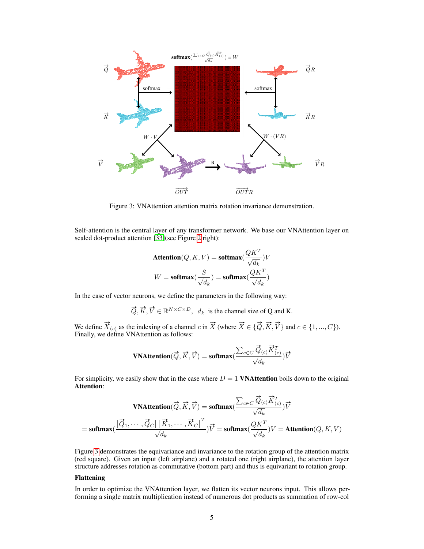

<span id="page-4-0"></span>Figure 3: VNAttention attention matrix rotation invariance demonstration.

Self-attention is the central layer of any transformer network. We base our VNAttention layer on scaled dot-product attention [\[33\]](#page-10-16)(see Figure [2](#page-3-0) right):

$$
\begin{aligned} &\text{Attention}(Q,K,V) = \text{softmax}(\frac{QK^T}{\sqrt{d_k}})V \\ &W = \text{softmax}(\frac{S}{\sqrt{d_k}}) = \text{softmax}(\frac{QK^T}{\sqrt{d_k}}) \end{aligned}
$$

In the case of vector neurons, we define the parameters in the following way:

$$
\vec{Q}, \vec{K}, \vec{V} \in \mathbb{R}^{N \times C \times D}, d_k \text{ is the channel size of Q and K.}
$$

We define  $\overrightarrow{X}_{(c)}$  as the indexing of a channel c in  $\overrightarrow{X}$  (where  $\overrightarrow{X} \in \{\overrightarrow{Q}, \overrightarrow{K}, \overrightarrow{V}\}$  and  $c \in \{1, ..., C\}$ ). Finally, we define VNAttention as follows:

$$
\mathbf{VNAttention}(\vec{Q}, \vec{K}, \vec{V}) = \mathbf{softmax}(\frac{\sum_{c \in C} \vec{Q}_{(c)} \vec{K}_{(c)}^T}{\sqrt{d_k}}) \vec{V}
$$

For simplicity, we easily show that in the case where  $D = 1$  VNAttention boils down to the original Attention:

$$
\textbf{VNAttention}(\vec{Q}, \vec{K}, \vec{V}) = \textbf{softmax}(\frac{\sum_{c \in C} \vec{Q}_{(c)} \vec{K}_{(c)}^T}{\sqrt{d_k}}) \vec{V}
$$
\n
$$
= \textbf{softmax}(\frac{[\vec{Q}_1, \cdots, \vec{Q}_C] \left[\vec{K}_1, \cdots, \vec{K}_C\right]^T}{\sqrt{d_k}}) \vec{V} = \textbf{softmax}(\frac{QK^T}{\sqrt{d_k}}) V = \textbf{Attention}(Q, K, V)
$$

Figure [3](#page-4-0) demonstrates the equivariance and invariance to the rotation group of the attention matrix (red square). Given an input (left airplane) and a rotated one (right airplane), the attention layer structure addresses rotation as commutative (bottom part) and thus is equivariant to rotation group.

#### Flattening

In order to optimize the VNAttention layer, we flatten its vector neurons input. This allows performing a single matrix multiplication instead of numerous dot products as summation of row-col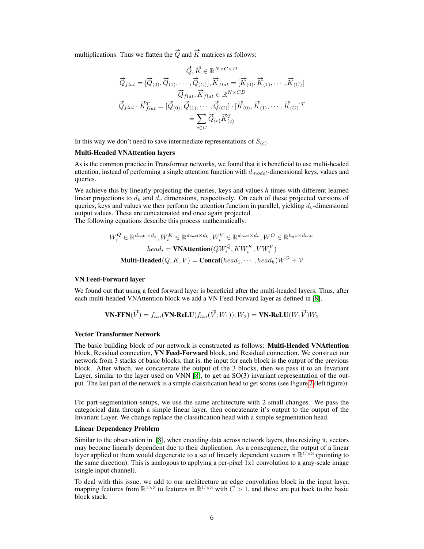multiplications. Thus we flatten the  $\vec{Q}$  and  $\vec{K}$  matrices as follows:

$$
\vec{Q}_{flat} = [\vec{Q}_{(0)}, \vec{Q}_{(1)}, \cdots, \vec{Q}_{(C)}], \vec{K}_{flat} = [\vec{K}_{(0)}, \vec{K}_{(1)}, \cdots, \vec{K}_{(C)}]
$$
\n
$$
\vec{Q}_{flat}, \vec{K}_{flat} \in \mathbb{R}^{N \times CD}
$$
\n
$$
\vec{Q}_{flat} \cdot \vec{K}_{flat}^T = [\vec{Q}_{(0)}, \vec{Q}_{(1)}, \cdots, \vec{Q}_{(C)}] \cdot [\vec{K}_{(0)}, \vec{K}_{(1)}, \cdots, \vec{K}_{(C)}]^T
$$
\n
$$
= \sum_{c \in C} \vec{Q}_{(c)} \vec{K}_{(c)}^T
$$

In this way we don't need to save intermediate representations of  $S_{(c)}$ .

# Multi-Headed VNAttention layers

As is the common practice in Transformer networks, we found that it is beneficial to use multi-headed attention, instead of performing a single attention function with  $d_{model}$ -dimensional keys, values and queries.

We achieve this by linearly projecting the queries, keys and values *h* times with different learned linear projections to  $d_k$  and  $d_v$  dimensions, respectively. On each of these projected versions of queries, keys and values we then perform the attention function in parallel, yielding  $d_v$ -dimensional output values. These are concatenated and once again projected. The following equations describe this process mathematically:

> $W_i^Q \in \mathbb{R}^{d_{\textup{model}} \times d_k}, W_i^K \in \mathbb{R}^{d_{\textup{model}} \times d_k}, W_i^V \in \mathbb{R}^{d_{\textup{model}} \times d_v}, W^O \in \mathbb{R}^{h_d v \times d_{\textup{model}}}$  $head_i = \textbf{VNAttention}(QW^Q_i, KW^K_i, VW^V_i)$

**Multi-Headed**(Q, K, V) = **Concat**(head<sub>1</sub>,  $\cdots$ , head<sub>h</sub>) $W^O + V$ 

#### VN Feed-Forward layer

We found out that using a feed forward layer is beneficial after the multi-headed layers. Thus, after each multi-headed VNAttention block we add a VN Feed-Forward layer as defined in [\[8\]](#page-9-1).

$$
\mathbf{VN}\text{-}\mathbf{FFN}(\overrightarrow{V}) = f_{lin}(\mathbf{VN}\text{-}\mathbf{ReLU}(f_{lin}(\overrightarrow{V};W_1));W_2) = \mathbf{VN}\text{-}\mathbf{ReLU}(W_1\overrightarrow{V})W_2
$$

#### Vector Transformer Network

The basic building block of our network is constructed as follows: Multi-Headed VNAttention block, Residual connection, VN Feed-Forward block, and Residual connection. We construct our network from 3 stacks of basic blocks, that is, the input for each block is the output of the previous block. After which, we concatenate the output of the 3 blocks, then we pass it to an Invariant Layer, similar to the layer used on VNN [\[8\]](#page-9-1), to get an SO(3) invariant representation of the output. The last part of the network is a simple classification head to get scores (see Figure [2](#page-3-0) (left figure)).

For part-segmentation setups, we use the same architecture with 2 small changes. We pass the categorical data through a simple linear layer, then concatenate it's output to the output of the Invariant Layer. We change replace the classification head with a simple segmentation head.

#### Linear Dependency Problem

Similar to the observation in [\[8\]](#page-9-1), when encoding data across network layers, thus resizing it, vectors may become linearly dependent due to their duplication. As a consequence, the output of a linear layer applied to them would degenerate to a set of linearly dependent vectors n  $\mathbb{R}^{C\times 3}$  (pointing to the same direction). This is analogous to applying a per-pixel 1x1 convolution to a gray-scale image (single input channel).

To deal with this issue, we add to our architecture an edge convolution block in the input layer, mapping features from  $\mathbb{R}^{1\times 3}$  to features in  $\mathbb{R}^{C\times 3}$  with  $C>1$ , and those are put back to the basic block stack.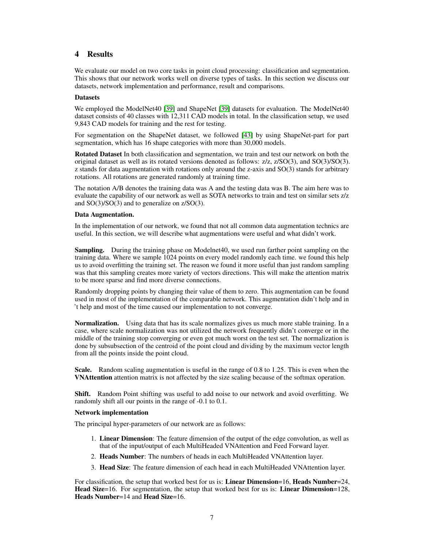# 4 Results

We evaluate our model on two core tasks in point cloud processing: classification and segmentation. This shows that our network works well on diverse types of tasks. In this section we discuss our datasets, network implementation and performance, result and comparisons.

#### **Datasets**

We employed the ModelNet40 [\[39\]](#page-10-17) and ShapeNet [39] datasets for evaluation. The ModelNet40 dataset consists of 40 classes with 12,311 CAD models in total. In the classification setup, we used 9,843 CAD models for training and the rest for testing.

For segmentation on the ShapeNet dataset, we followed [\[43\]](#page-11-7) by using ShapeNet-part for part segmentation, which has 16 shape categories with more than 30,000 models.

Rotated Dataset In both classification and segmentation, we train and test our network on both the original dataset as well as its rotated versions denoted as follows: z/z, z/SO(3), and SO(3)/SO(3). z stands for data augmentation with rotations only around the z-axis and SO(3) stands for arbitrary rotations. All rotations are generated randomly at training time.

The notation A/B denotes the training data was A and the testing data was B. The aim here was to evaluate the capability of our network as well as SOTA networks to train and test on similar sets z/z and SO(3)/SO(3) and to generalize on z/SO(3).

#### Data Augmentation.

In the implementation of our network, we found that not all common data augmentation technics are useful. In this section, we will describe what augmentations were useful and what didn't work.

Sampling. During the training phase on Modelnet40, we used run farther point sampling on the training data. Where we sample 1024 points on every model randomly each time. we found this help us to avoid overfitting the training set. The reason we found it more useful than just random sampling was that this sampling creates more variety of vectors directions. This will make the attention matrix to be more sparse and find more diverse connections.

Randomly dropping points by changing their value of them to zero. This augmentation can be found used in most of the implementation of the comparable network. This augmentation didn't help and in 't help and most of the time caused our implementation to not converge.

Normalization. Using data that has its scale normalizes gives us much more stable training. In a case, where scale normalization was not utilized the network frequently didn't converge or in the middle of the training stop converging or even got much worst on the test set. The normalization is done by subsubsection of the centroid of the point cloud and dividing by the maximum vector length from all the points inside the point cloud.

Scale. Random scaling augmentation is useful in the range of 0.8 to 1.25. This is even when the VNAttention attention matrix is not affected by the size scaling because of the softmax operation.

Shift. Random Point shifting was useful to add noise to our network and avoid overfitting. We randomly shift all our points in the range of -0.1 to 0.1.

#### Network implementation

The principal hyper-parameters of our network are as follows:

- 1. Linear Dimension: The feature dimension of the output of the edge convolution, as well as that of the input/output of each MultiHeaded VNAttention and Feed Forward layer.
- 2. Heads Number: The numbers of heads in each MultiHeaded VNAttention layer.
- 3. Head Size: The feature dimension of each head in each MultiHeaded VNAttention layer.

For classification, the setup that worked best for us is: **Linear Dimension**=16, **Heads Number=24**, Head Size=16. For segmentation, the setup that worked best for us is: Linear Dimension=128, Heads Number=14 and Head Size=16.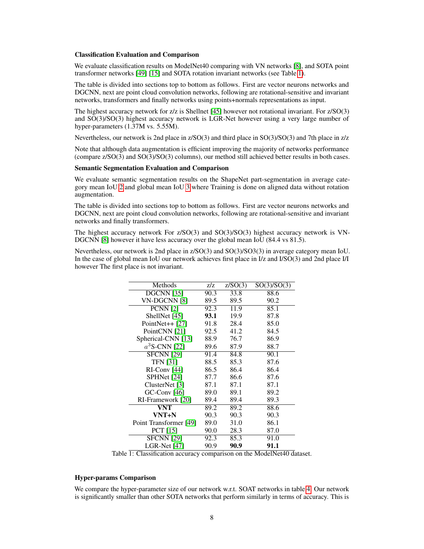#### Classification Evaluation and Comparison

We evaluate classification results on ModelNet40 comparing with VN networks [\[8\]](#page-9-1), and SOTA point transformer networks [\[49\]](#page-11-3) [\[15\]](#page-9-3) and SOTA rotation invariant networks (see Table [1\)](#page-7-0).

The table is divided into sections top to bottom as follows. First are vector neurons networks and DGCNN, next are point cloud convolution networks, following are rotational-sensitive and invariant networks, transformers and finally networks using points+normals representations as input.

The highest accuracy network for z/z is Shellnet [\[45\]](#page-11-8) however not rotational invariant. For z/SO(3) and SO(3)/SO(3) highest accuracy network is LGR-Net however using a very large number of hyper-parameters (1.37M vs. 5.55M).

Nevertheless, our network is 2nd place in z/SO(3) and third place in SO(3)/SO(3) and 7th place in z/z

Note that although data augmentation is efficient improving the majority of networks performance (compare z/SO(3) and SO(3)/SO(3) columns), our method still achieved better results in both cases.

#### Semantic Segmentation Evaluation and Comparison

We evaluate semantic segmentation results on the ShapeNet part-segmentation in average category mean IoU [2](#page-8-3) and global mean IoU [3](#page-8-4) where Training is done on aligned data without rotation augmentation.

The table is divided into sections top to bottom as follows. First are vector neurons networks and DGCNN, next are point cloud convolution networks, following are rotational-sensitive and invariant networks and finally transformers.

The highest accuracy network For z/SO(3) and SO(3)/SO(3) highest accuracy network is VN-DGCNN [\[8\]](#page-9-1) however it have less accuracy over the global mean IoU (84.4 vs 81.5).

Nevertheless, our network is 2nd place in z/SO(3) and SO(3)/SO3(3) in average category mean IoU. In the case of global mean IoU our network achieves first place in I/z and I/SO(3) and 2nd place I/I however The first place is not invariant.

| Methods                | z/z  | Z/SO(3) | SO(3)/SO(3) |
|------------------------|------|---------|-------------|
| $DGCNN$ [35]           | 90.3 | 33.8    | 88.6        |
| VN-DGCNN [8]           | 89.5 | 89.5    | 90.2        |
| <b>PCNN</b> [2]        | 92.3 | 11.9    | 85.1        |
| ShellNet [45]          | 93.1 | 19.9    | 87.8        |
| PointNet $++$ [27]     | 91.8 | 28.4    | 85.0        |
| PointCNN [21]          | 92.5 | 41.2    | 84.5        |
| Spherical-CNN [13]     | 88.9 | 76.7    | 86.9        |
| $a^3$ S-CNN [22]       | 89.6 | 87.9    | 88.7        |
| <b>SFCNN</b> [29]      | 91.4 | 84.8    | 90.1        |
| <b>TFN [31]</b>        | 88.5 | 85.3    | 87.6        |
| $RI$ -Conv $[44]$      | 86.5 | 86.4    | 86.4        |
| SPHNet [24]            | 87.7 | 86.6    | 87.6        |
| ClusterNet [3]         | 87.1 | 87.1    | 87.1        |
| $GC$ -Conv $[46]$      | 89.0 | 89.1    | 89.2        |
| RI-Framework [20]      | 89.4 | 89.4    | 89.3        |
| VNT                    | 89.2 | 89.2    | 88.6        |
| VNT+N                  | 90.3 | 90.3    | 90.3        |
| Point Transformer [49] | 89.0 | 31.0    | 86.1        |
| <b>PCT</b> [15]        | 90.0 | 28.3    | 87.0        |
| <b>SFCNN</b> [29]      | 92.3 | 85.3    | 91.0        |
| LGR-Net [47]           | 90.9 | 90.9    | 91.1        |

<span id="page-7-0"></span>Table 1: Classification accuracy comparison on the ModelNet40 dataset.

# Hyper-params Comparison

We compare the hyper-parameter size of our network w.r.t. SOAT networks in table [4.](#page-8-5) Our network is significantly smaller than other SOTA networks that perform similarly in terms of accuracy. This is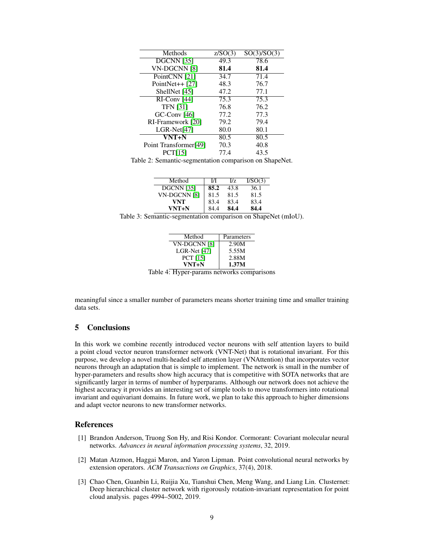| Methods                          | Z/SO(3) | SO(3)/SO(3) |
|----------------------------------|---------|-------------|
| <b>DGCNN</b> [35]                | 49.3    | 78.6        |
| VN-DGCNN [8]                     | 81.4    | 81.4        |
| PointCNN [21]                    | 34.7    | 71.4        |
| PointNet $++$ [27]               | 48.3    | 76.7        |
| ShellNet [45]                    | 47.2    | 77.1        |
| $\overline{\text{RI-Conv}}$ [44] | 75.3    | 75.3        |
| <b>TFN</b> [31]                  | 76.8    | 76.2        |
| $GC$ -Conv $[46]$                | 77.2    | 77.3        |
| RI-Framework [20]                | 79.2    | 79.4        |
| $LGR-Net[47]$                    | 80.0    | 80.1        |
| VNT+N                            | 80.5    | 80.5        |
| Point Transformer[49]            | 70.3    | 40.8        |
| <b>PCT[15]</b>                   | 77.4    | 43.5        |

Table 2: Semantic-segmentation comparison on ShapeNet.

<span id="page-8-3"></span>

| Method       | И    | IJz. | I/SO(3) |
|--------------|------|------|---------|
| DGCNN [35]   | 85.2 | 43.8 | 36.1    |
| VN-DGCNN [8] | 81.5 | 81.5 | 81.5    |
| <b>VNT</b>   | 83.4 | 83.4 | 83.4    |
| VNT+N        | 84.4 | 84.4 | 84.4    |

<span id="page-8-4"></span>Table 3: Semantic-segmentation comparison on ShapeNet (mIoU).

| Method          | Parameters |
|-----------------|------------|
| VN-DGCNN [8]    | 2.90M      |
| LGR-Net $[47]$  | 5.55M      |
| <b>PCT</b> [15] | 2.88M      |
| $VNT+N$         | 1.37M      |
|                 |            |

<span id="page-8-5"></span>Table 4: Hyper-params networks comparisons

meaningful since a smaller number of parameters means shorter training time and smaller training data sets.

# 5 Conclusions

In this work we combine recently introduced vector neurons with self attention layers to build a point cloud vector neuron transformer network (VNT-Net) that is rotational invariant. For this purpose, we develop a novel multi-headed self attention layer (VNAttention) that incorporates vector neurons through an adaptation that is simple to implement. The network is small in the number of hyper-parameters and results show high accuracy that is competitive with SOTA networks that are significantly larger in terms of number of hyperparams. Although our network does not achieve the highest accuracy it provides an interesting set of simple tools to move transformers into rotational invariant and equivariant domains. In future work, we plan to take this approach to higher dimensions and adapt vector neurons to new transformer networks.

## **References**

- <span id="page-8-2"></span>[1] Brandon Anderson, Truong Son Hy, and Risi Kondor. Cormorant: Covariant molecular neural networks. *Advances in neural information processing systems*, 32, 2019.
- <span id="page-8-0"></span>[2] Matan Atzmon, Haggai Maron, and Yaron Lipman. Point convolutional neural networks by extension operators. *ACM Transactions on Graphics*, 37(4), 2018.
- <span id="page-8-1"></span>[3] Chao Chen, Guanbin Li, Ruijia Xu, Tianshui Chen, Meng Wang, and Liang Lin. Clusternet: Deep hierarchical cluster network with rigorously rotation-invariant representation for point cloud analysis. pages 4994–5002, 2019.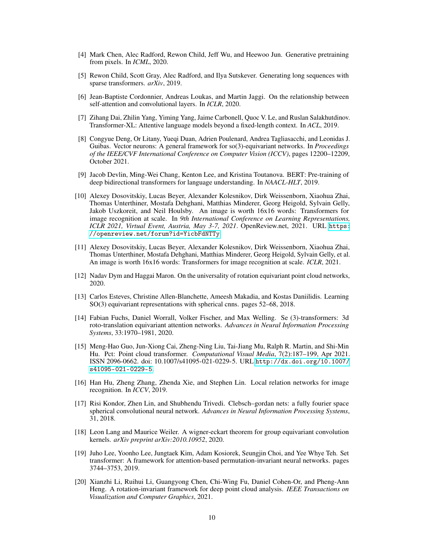- <span id="page-9-11"></span>[4] Mark Chen, Alec Radford, Rewon Child, Jeff Wu, and Heewoo Jun. Generative pretraining from pixels. In *ICML*, 2020.
- <span id="page-9-8"></span>[5] Rewon Child, Scott Gray, Alec Radford, and Ilya Sutskever. Generating long sequences with sparse transformers. *arXiv*, 2019.
- <span id="page-9-9"></span>[6] Jean-Baptiste Cordonnier, Andreas Loukas, and Martin Jaggi. On the relationship between self-attention and convolutional layers. In *ICLR*, 2020.
- <span id="page-9-6"></span>[7] Zihang Dai, Zhilin Yang, Yiming Yang, Jaime Carbonell, Quoc V. Le, and Ruslan Salakhutdinov. Transformer-XL: Attentive language models beyond a fixed-length context. In *ACL*, 2019.
- <span id="page-9-1"></span>[8] Congyue Deng, Or Litany, Yueqi Duan, Adrien Poulenard, Andrea Tagliasacchi, and Leonidas J. Guibas. Vector neurons: A general framework for so(3)-equivariant networks. In *Proceedings of the IEEE/CVF International Conference on Computer Vision (ICCV)*, pages 12200–12209, October 2021.
- <span id="page-9-5"></span>[9] Jacob Devlin, Ming-Wei Chang, Kenton Lee, and Kristina Toutanova. BERT: Pre-training of deep bidirectional transformers for language understanding. In *NAACL-HLT*, 2019.
- <span id="page-9-2"></span>[10] Alexey Dosovitskiy, Lucas Beyer, Alexander Kolesnikov, Dirk Weissenborn, Xiaohua Zhai, Thomas Unterthiner, Mostafa Dehghani, Matthias Minderer, Georg Heigold, Sylvain Gelly, Jakob Uszkoreit, and Neil Houlsby. An image is worth 16x16 words: Transformers for image recognition at scale. In *9th International Conference on Learning Representations, ICLR 2021, Virtual Event, Austria, May 3-7, 2021*. OpenReview.net, 2021. URL [https:](https://openreview.net/forum?id=YicbFdNTTy) [//openreview.net/forum?id=YicbFdNTTy](https://openreview.net/forum?id=YicbFdNTTy).
- <span id="page-9-10"></span>[11] Alexey Dosovitskiy, Lucas Beyer, Alexander Kolesnikov, Dirk Weissenborn, Xiaohua Zhai, Thomas Unterthiner, Mostafa Dehghani, Matthias Minderer, Georg Heigold, Sylvain Gelly, et al. An image is worth 16x16 words: Transformers for image recognition at scale. *ICLR*, 2021.
- <span id="page-9-16"></span>[12] Nadav Dym and Haggai Maron. On the universality of rotation equivariant point cloud networks, 2020.
- <span id="page-9-4"></span>[13] Carlos Esteves, Christine Allen-Blanchette, Ameesh Makadia, and Kostas Daniilidis. Learning SO(3) equivariant representations with spherical cnns. pages 52–68, 2018.
- <span id="page-9-0"></span>[14] Fabian Fuchs, Daniel Worrall, Volker Fischer, and Max Welling. Se (3)-transformers: 3d roto-translation equivariant attention networks. *Advances in Neural Information Processing Systems*, 33:1970–1981, 2020.
- <span id="page-9-3"></span>[15] Meng-Hao Guo, Jun-Xiong Cai, Zheng-Ning Liu, Tai-Jiang Mu, Ralph R. Martin, and Shi-Min Hu. Pct: Point cloud transformer. *Computational Visual Media*, 7(2):187–199, Apr 2021. ISSN 2096-0662. doi: 10.1007/s41095-021-0229-5. URL [http://dx.doi.org/10.1007/](http://dx.doi.org/10.1007/s41095-021-0229-5) [s41095-021-0229-5](http://dx.doi.org/10.1007/s41095-021-0229-5).
- <span id="page-9-7"></span>[16] Han Hu, Zheng Zhang, Zhenda Xie, and Stephen Lin. Local relation networks for image recognition. In *ICCV*, 2019.
- <span id="page-9-14"></span>[17] Risi Kondor, Zhen Lin, and Shubhendu Trivedi. Clebsch–gordan nets: a fully fourier space spherical convolutional neural network. *Advances in Neural Information Processing Systems*, 31, 2018.
- <span id="page-9-15"></span>[18] Leon Lang and Maurice Weiler. A wigner-eckart theorem for group equivariant convolution kernels. *arXiv preprint arXiv:2010.10952*, 2020.
- <span id="page-9-12"></span>[19] Juho Lee, Yoonho Lee, Jungtaek Kim, Adam Kosiorek, Seungjin Choi, and Yee Whye Teh. Set transformer: A framework for attention-based permutation-invariant neural networks. pages 3744–3753, 2019.
- <span id="page-9-13"></span>[20] Xianzhi Li, Ruihui Li, Guangyong Chen, Chi-Wing Fu, Daniel Cohen-Or, and Pheng-Ann Heng. A rotation-invariant framework for deep point cloud analysis. *IEEE Transactions on Visualization and Computer Graphics*, 2021.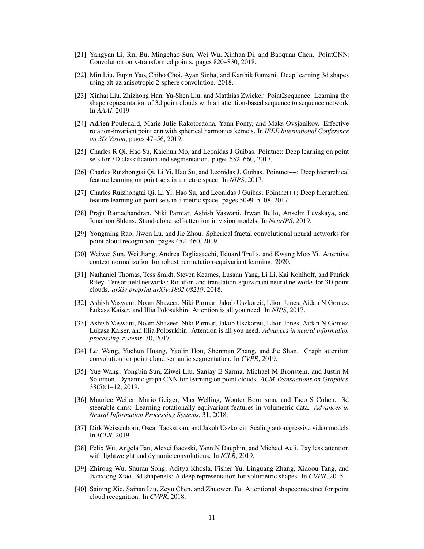- <span id="page-10-1"></span>[21] Yangyan Li, Rui Bu, Mingchao Sun, Wei Wu, Xinhan Di, and Baoquan Chen. PointCNN: Convolution on x-transformed points. pages 820–830, 2018.
- <span id="page-10-12"></span>[22] Min Liu, Fupin Yao, Chiho Choi, Ayan Sinha, and Karthik Ramani. Deep learning 3d shapes using alt-az anisotropic 2-sphere convolution. 2018.
- <span id="page-10-11"></span>[23] Xinhai Liu, Zhizhong Han, Yu-Shen Liu, and Matthias Zwicker. Point2sequence: Learning the shape representation of 3d point clouds with an attention-based sequence to sequence network. In *AAAI*, 2019.
- <span id="page-10-13"></span>[24] Adrien Poulenard, Marie-Julie Rakotosaona, Yann Ponty, and Maks Ovsjanikov. Effective rotation-invariant point cnn with spherical harmonics kernels. In *IEEE International Conference on 3D Vision*, pages 47–56, 2019.
- <span id="page-10-0"></span>[25] Charles R Qi, Hao Su, Kaichun Mo, and Leonidas J Guibas. Pointnet: Deep learning on point sets for 3D classification and segmentation. pages 652–660, 2017.
- <span id="page-10-5"></span>[26] Charles Ruizhongtai Qi, Li Yi, Hao Su, and Leonidas J. Guibas. Pointnet++: Deep hierarchical feature learning on point sets in a metric space. In *NIPS*, 2017.
- <span id="page-10-19"></span>[27] Charles Ruizhongtai Qi, Li Yi, Hao Su, and Leonidas J Guibas. Pointnet++: Deep hierarchical feature learning on point sets in a metric space. pages 5099–5108, 2017.
- <span id="page-10-8"></span>[28] Prajit Ramachandran, Niki Parmar, Ashish Vaswani, Irwan Bello, Anselm Levskaya, and Jonathon Shlens. Stand-alone self-attention in vision models. In *NeurIPS*, 2019.
- <span id="page-10-14"></span>[29] Yongming Rao, Jiwen Lu, and Jie Zhou. Spherical fractal convolutional neural networks for point cloud recognition. pages 452–460, 2019.
- <span id="page-10-2"></span>[30] Weiwei Sun, Wei Jiang, Andrea Tagliasacchi, Eduard Trulls, and Kwang Moo Yi. Attentive context normalization for robust permutation-equivariant learning. 2020.
- <span id="page-10-3"></span>[31] Nathaniel Thomas, Tess Smidt, Steven Kearnes, Lusann Yang, Li Li, Kai Kohlhoff, and Patrick Riley. Tensor field networks: Rotation-and translation-equivariant neural networks for 3D point clouds. *arXiv preprint arXiv:1802.08219*, 2018.
- <span id="page-10-4"></span>[32] Ashish Vaswani, Noam Shazeer, Niki Parmar, Jakob Uszkoreit, Llion Jones, Aidan N Gomez, Łukasz Kaiser, and Illia Polosukhin. Attention is all you need. In *NIPS*, 2017.
- <span id="page-10-16"></span>[33] Ashish Vaswani, Noam Shazeer, Niki Parmar, Jakob Uszkoreit, Llion Jones, Aidan N Gomez, Łukasz Kaiser, and Illia Polosukhin. Attention is all you need. *Advances in neural information processing systems*, 30, 2017.
- <span id="page-10-6"></span>[34] Lei Wang, Yuchun Huang, Yaolin Hou, Shenman Zhang, and Jie Shan. Graph attention convolution for point cloud semantic segmentation. In *CVPR*, 2019.
- <span id="page-10-18"></span>[35] Yue Wang, Yongbin Sun, Ziwei Liu, Sanjay E Sarma, Michael M Bronstein, and Justin M Solomon. Dynamic graph CNN for learning on point clouds. *ACM Transactions on Graphics*, 38(5):1–12, 2019.
- <span id="page-10-15"></span>[36] Maurice Weiler, Mario Geiger, Max Welling, Wouter Boomsma, and Taco S Cohen. 3d steerable cnns: Learning rotationally equivariant features in volumetric data. *Advances in Neural Information Processing Systems*, 31, 2018.
- <span id="page-10-9"></span>[37] Dirk Weissenborn, Oscar Täckström, and Jakob Uszkoreit. Scaling autoregressive video models. In *ICLR*, 2019.
- <span id="page-10-7"></span>[38] Felix Wu, Angela Fan, Alexei Baevski, Yann N Dauphin, and Michael Auli. Pay less attention with lightweight and dynamic convolutions. In *ICLR*, 2019.
- <span id="page-10-17"></span>[39] Zhirong Wu, Shuran Song, Aditya Khosla, Fisher Yu, Linguang Zhang, Xiaoou Tang, and Jianxiong Xiao. 3d shapenets: A deep representation for volumetric shapes. In *CVPR*, 2015.
- <span id="page-10-10"></span>[40] Saining Xie, Sainan Liu, Zeyu Chen, and Zhuowen Tu. Attentional shapecontextnet for point cloud recognition. In *CVPR*, 2018.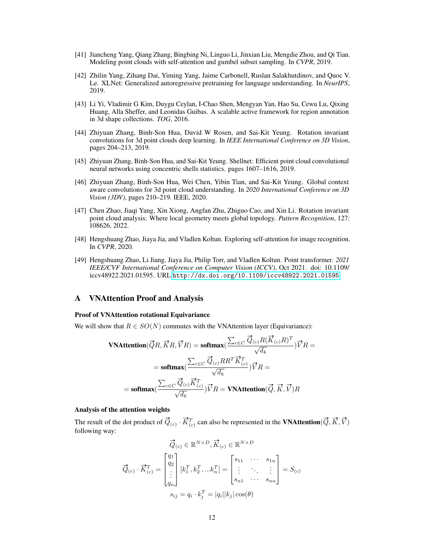- <span id="page-11-2"></span>[41] Jiancheng Yang, Qiang Zhang, Bingbing Ni, Linguo Li, Jinxian Liu, Mengdie Zhou, and Qi Tian. Modeling point clouds with self-attention and gumbel subset sampling. In *CVPR*, 2019.
- <span id="page-11-0"></span>[42] Zhilin Yang, Zihang Dai, Yiming Yang, Jaime Carbonell, Ruslan Salakhutdinov, and Quoc V. Le. XLNet: Generalized autoregressive pretraining for language understanding. In *NeurIPS*, 2019.
- <span id="page-11-7"></span>[43] Li Yi, Vladimir G Kim, Duygu Ceylan, I-Chao Shen, Mengyan Yan, Hao Su, Cewu Lu, Qixing Huang, Alla Sheffer, and Leonidas Guibas. A scalable active framework for region annotation in 3d shape collections. *TOG*, 2016.
- <span id="page-11-4"></span>[44] Zhiyuan Zhang, Binh-Son Hua, David W Rosen, and Sai-Kit Yeung. Rotation invariant convolutions for 3d point clouds deep learning. In *IEEE International Conference on 3D Vision*, pages 204–213, 2019.
- <span id="page-11-8"></span>[45] Zhiyuan Zhang, Binh-Son Hua, and Sai-Kit Yeung. Shellnet: Efficient point cloud convolutional neural networks using concentric shells statistics. pages 1607–1616, 2019.
- <span id="page-11-5"></span>[46] Zhiyuan Zhang, Binh-Son Hua, Wei Chen, Yibin Tian, and Sai-Kit Yeung. Global context aware convolutions for 3d point cloud understanding. In *2020 International Conference on 3D Vision (3DV)*, pages 210–219. IEEE, 2020.
- <span id="page-11-6"></span>[47] Chen Zhao, Jiaqi Yang, Xin Xiong, Angfan Zhu, Zhiguo Cao, and Xin Li. Rotation invariant point cloud analysis: Where local geometry meets global topology. *Pattern Recognition*, 127: 108626, 2022.
- <span id="page-11-1"></span>[48] Hengshuang Zhao, Jiaya Jia, and Vladlen Koltun. Exploring self-attention for image recognition. In *CVPR*, 2020.
- <span id="page-11-3"></span>[49] Hengshuang Zhao, Li Jiang, Jiaya Jia, Philip Torr, and Vladlen Koltun. Point transformer. *2021 IEEE/CVF International Conference on Computer Vision (ICCV)*, Oct 2021. doi: 10.1109/ iccv48922.2021.01595. URL <http://dx.doi.org/10.1109/iccv48922.2021.01595>.

# A VNAttention Proof and Analysis

#### Proof of VNAttention rotational Equivariance

We will show that  $R \in SO(N)$  commutes with the VNAttention layer (Equivariance):

$$
\begin{aligned} \textbf{VNAttention}(\vec{Q}R,\vec{K}R,\vec{V}R) & = \textbf{softmax}(\frac{\sum_{c \in C} \vec{Q}_{(c)} R (\vec{K}_{(c)} R)^T}{\sqrt{d_k}}) \vec{V} R = \\ & = \textbf{softmax}(\frac{\sum_{c \in C} \vec{Q}_{(c)} R R^T \vec{K}_{(c)}^T}{\sqrt{d_k}}) \vec{V} R = \\ & = \textbf{softmax}(\frac{\sum_{c \in C} \vec{Q}_{(c)} \vec{K}_{(c)}^T}{\sqrt{d_k}}) \vec{V} R = \textbf{VNAttention}(\vec{Q},\vec{K},\vec{V}) R \end{aligned}
$$

#### Analysis of the attention weights

The result of the dot product of  $\vec{Q}_{(c)} \cdot \vec{K}_{(c)}^T$  can also be represented in the **VNAttention**( $\vec{Q}, \vec{K}, \vec{V}$ ) following way:

$$
\vec{Q}_{(c)} \in \mathbb{R}^{N \times D}, \vec{K}_{(c)} \in \mathbb{R}^{N \times D}
$$
\n
$$
\vec{Q}_{(c)} \cdot \vec{K}_{(c)}^T = \begin{bmatrix} q_1 \\ q_2 \\ \vdots \\ q_n \end{bmatrix} [k_1^T, k_2^T, \dots k_n^T] = \begin{bmatrix} s_{11} & \cdots & s_{1n} \\ \vdots & \ddots & \vdots \\ s_{n1} & \cdots & s_{nn} \end{bmatrix} = S_{(c)}
$$
\n
$$
s_{ij} = q_i \cdot k_j^T = |q_i||k_j| \cos(\theta)
$$